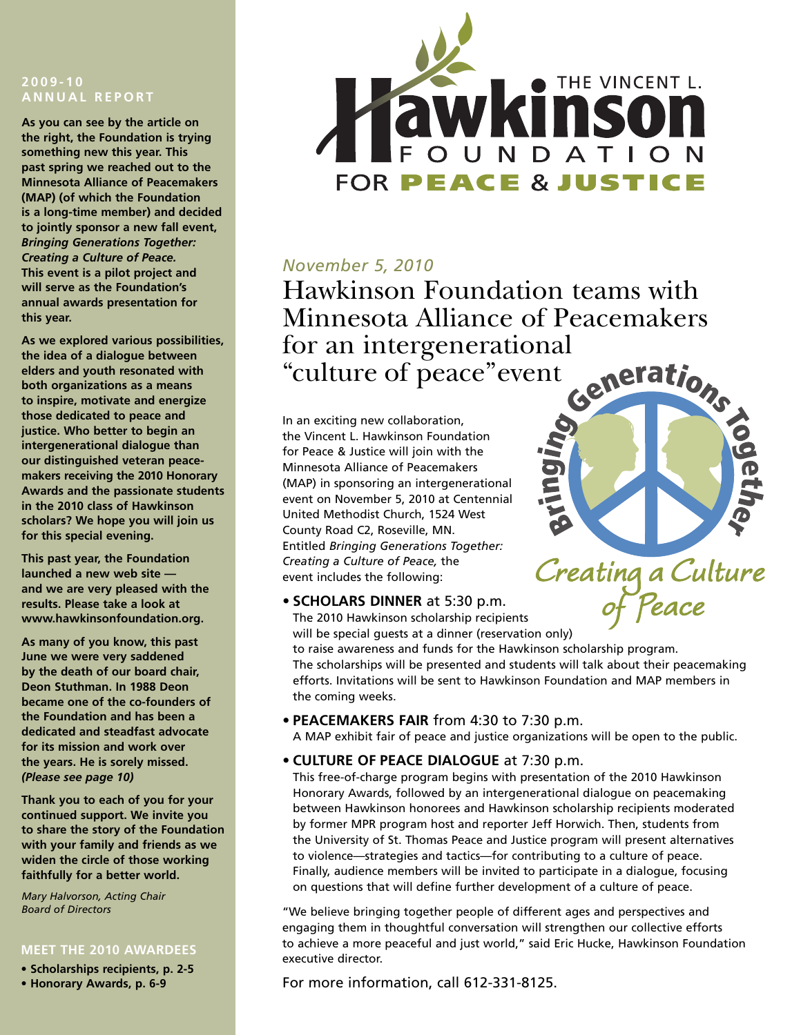#### **2 0 0 9 - 1 0 A N N U A L R E P O RT**

**As you can see by the article on the right, the Foundation is trying something new this year. This past spring we reached out to the Minnesota Alliance of Peacemakers (MAP) (of which the Foundation is a long-time member) and decided to jointly sponsor a new fall event,** *Bringing Generations Together: Creating a Culture of Peace.* **This event is a pilot project and will serve as the Foundation's annual awards presentation for this year.**

**As we explored various possibilities, the idea of a dialogue between elders and youth resonated with both organizations as a means to inspire, motivate and energize those dedicated to peace and justice. Who better to begin an intergenerational dialogue than our distinguished veteran peacemakers receiving the 2010 Honorary Awards and the passionate students in the 2010 class of Hawkinson scholars? We hope you will join us for this special evening.**

**This past year, the Foundation launched a new web site and we are very pleased with the results. Please take a look at www.hawkinsonfoundation.org.**

**As many of you know, this past June we were very saddened by the death of our board chair, Deon Stuthman. In 1988 Deon became one of the co-founders of the Foundation and has been a dedicated and steadfast advocate for its mission and work over the years. He is sorely missed.** *(Please see page 10)*

**Thank you to each of you for your continued support. We invite you to share the story of the Foundation with your family and friends as we widen the circle of those working faithfully for a better world.**

*Mary Halvorson, Acting Chair Board of Directors*

#### **MEET THE 2010 AWARDEES**

**• Scholarships recipients, p. 2-5**





#### *November 5, 2010*

Hawkinson Foundation teams with Minnesota Alliance of Peacemakers for an intergenerational<br>"culture of peace" event " culture of peace " event

In an exciting new collaboration, the Vincent L. Hawkinson Foundation for Peace & Justice will join with the Minnesota Alliance of Peacemakers (MAP) in sponsoring an intergenerational event on November 5, 2010 at Centennial United Methodist Church, 1524 West County Road C2, Roseville, MN. Entitled *Bringing Generations Together: Creating a Culture of Peace,* the event includes the following:



**• SCHOLARS DINNER** at 5:30 p.m. The 2010 Hawkinson scholarship recipients will be special guests at a dinner (reservation only)

to raise awareness and funds for the Hawkinson scholarship program. The scholarships will be presented and students will talk about their peacemaking efforts. Invitations will be sent to Hawkinson Foundation and MAP members in the coming weeks.

- **• PEACEMAKERS FAIR** from 4:30 to 7:30 p.m. A MAP exhibit fair of peace and justice organizations will be open to the public.
- **• CULTURE OF PEACE DIALOGUE** at 7:30 p.m.

This free-of-charge program begins with presentation of the 2010 Hawkinson Honorary Awards, followed by an intergenerational dialogue on peacemaking between Hawkinson honorees and Hawkinson scholarship recipients moderated by former MPR program host and reporter Jeff Horwich. Then, students from the University of St. Thomas Peace and Justice program will present alternatives to violence—strategies and tactics—for contributing to a culture of peace. Finally, audience members will be invited to participate in a dialogue, focusing on questions that will define further development of a culture of peace.

"We believe bringing together people of different ages and perspectives and engaging them in thoughtful conversation will strengthen our collective efforts to achieve a more peaceful and just world," said Eric Hucke, Hawkinson Foundation executive director.

For more information, call 612-331-8125.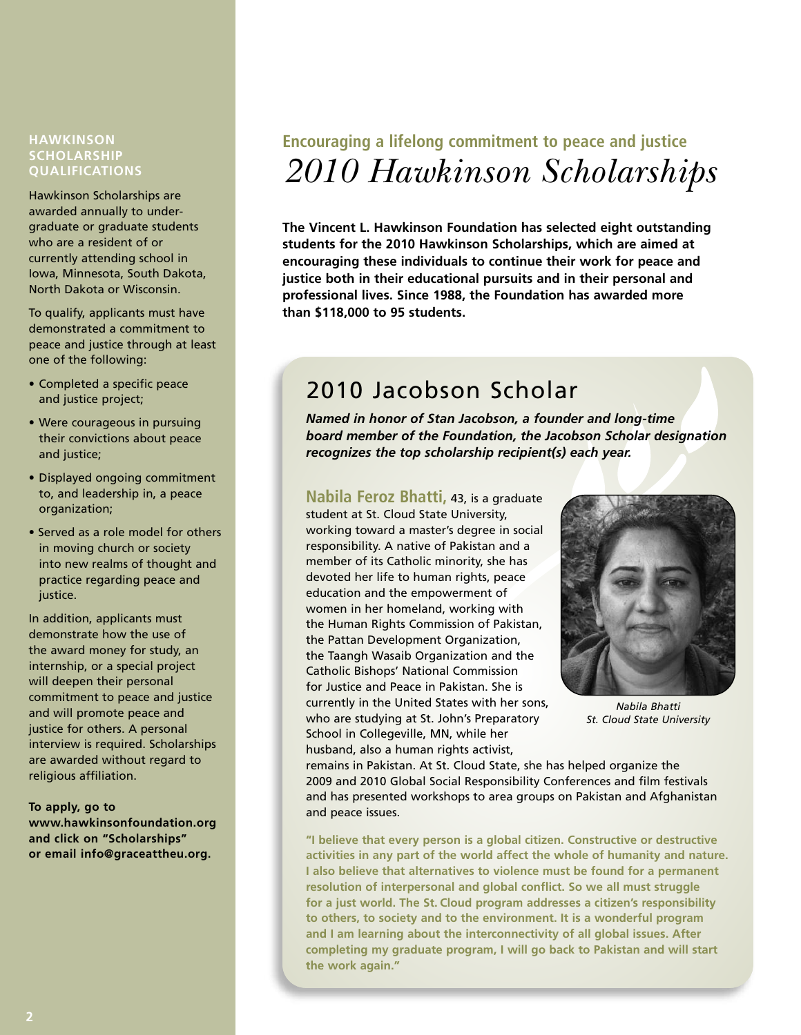#### **HAWKINSON SCHOLARSHIP QUALIFICATIONS**

Hawkinson Scholarships are awarded annually to undergraduate or graduate students who are a resident of or currently attending school in Iowa, Minnesota, South Dakota, North Dakota or Wisconsin.

To qualify, applicants must have demonstrated a commitment to peace and justice through at least one of the following:

- Completed a specific peace and justice project;
- Were courageous in pursuing their convictions about peace and justice;
- Displayed ongoing commitment to, and leadership in, a peace organization;
- Served as a role model for others in moving church or society into new realms of thought and practice regarding peace and justice.

In addition, applicants must demonstrate how the use of the award money for study, an internship, or a special project will deepen their personal commitment to peace and justice and will promote peace and justice for others. A personal interview is required. Scholarships are awarded without regard to religious affiliation.

**To apply, go to www.hawkinsonfoundation.org and click on "Scholarships" or email info@graceattheu.org.**

### **Encouraging a lifelong commitment to peace and justice** *2010 Hawkinson Scholarships*

**The Vincent L. Hawkinson Foundation has selected eight outstanding students for the 2010 Hawkinson Scholarships, which are aimed at encouraging these individuals to continue their work for peace and justice both in their educational pursuits and in their personal and professional lives. Since 1988, the Foundation has awarded more than \$118,000 to 95 students.**

### 2010 Jacobson Scholar

*Named in honor of Stan Jacobson, a founder and long-time board member of the Foundation, the Jacobson Scholar designation recognizes the top scholarship recipient(s) each year.*

#### **Nabila Feroz Bhatti,** 43, is <sup>a</sup> graduate

student at St. Cloud State University, working toward a master's degree in social responsibility. A native of Pakistan and a member of its Catholic minority, she has devoted her life to human rights, peace education and the empowerment of women in her homeland, working with the Human Rights Commission of Pakistan, the Pattan Development Organization, the Taangh Wasaib Organization and the Catholic Bishops' National Commission for Justice and Peace in Pakistan. She is currently in the United States with her sons, who are studying at St. John's Preparatory School in Collegeville, MN, while her husband, also a human rights activist,



*Nabila Bhatti St. Cloud State University*

remains in Pakistan. At St. Cloud State, she has helped organize the 2009 and 2010 Global Social Responsibility Conferences and film festivals and has presented workshops to area groups on Pakistan and Afghanistan and peace issues.

**"I believe that every person is a global citizen. Constructive or destructive activities in any part of the world affect the whole of humanity and nature. I also believe that alternatives to violence must be found for a permanent resolution of interpersonal and global conflict. So we all must struggle for a just world. The St. Cloud program addresses a citizen's responsibility to others, to society and to the environment. It is a wonderful program and I am learning about the interconnectivity of all global issues. After completing my graduate program, I will go back to Pakistan and will start the work again."**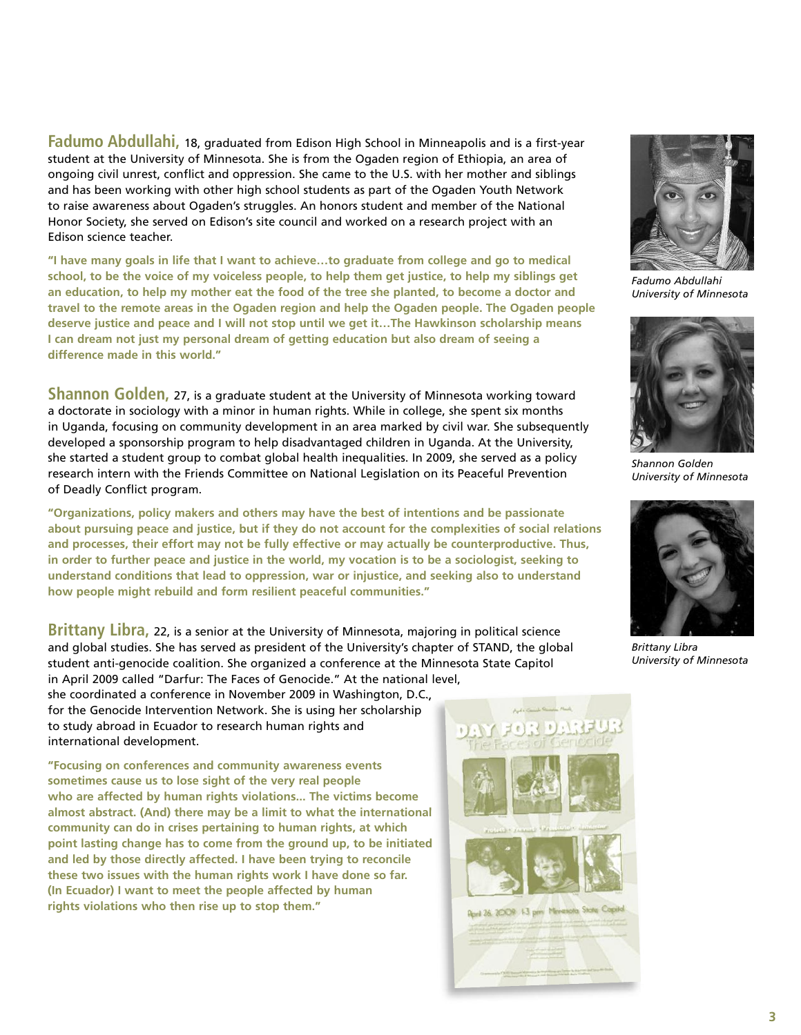**Fadumo Abdullahi,** 18, graduated from Edison High School in Minneapolis and is <sup>a</sup> first-year student at the University of Minnesota. She is from the Ogaden region of Ethiopia, an area of ongoing civil unrest, conflict and oppression. She came to the U.S. with her mother and siblings and has been working with other high school students as part of the Ogaden Youth Network to raise awareness about Ogaden's struggles. An honors student and member of the National Honor Society, she served on Edison's site council and worked on a research project with an Edison science teacher.

**"I have many goals in life that I want to achieve…to graduate from college and go to medical** school, to be the voice of my voiceless people, to help them get justice, to help my siblings get an education, to help my mother eat the food of the tree she planted, to become a doctor and **travel to the remote areas in the Ogaden region and help the Ogaden people. The Ogaden people deserve justice and peace and I will not stop until we get it…The Hawkinson scholarship means I can dream not just my personal dream of getting education but also dream of seeing a difference made in this world."**

**Shannon Golden,** 27, is <sup>a</sup> graduate student at the University of Minnesota working toward a doctorate in sociology with a minor in human rights. While in college, she spent six months in Uganda, focusing on community development in an area marked by civil war. She subsequently developed a sponsorship program to help disadvantaged children in Uganda. At the University, she started a student group to combat global health inequalities. In 2009, she served as a policy research intern with the Friends Committee on National Legislation on its Peaceful Prevention of Deadly Conflict program.

**"Organizations, policy makers and others may have the best of intentions and be passionate about pursuing peace and justice, but if they do not account for the complexities of social relations and processes, their effort may not be fully effective or may actually be counterproductive. Thus,** in order to further peace and justice in the world, my vocation is to be a sociologist, seeking to **understand conditions that lead to oppression, war or injustice, and seeking also to understand how people might rebuild and form resilient peaceful communities."**

**Brittany Libra,** 22, is <sup>a</sup> senior at the University of Minnesota, majoring in political science and global studies. She has served as president of the University's chapter of STAND, the global student anti-genocide coalition. She organized a conference at the Minnesota State Capitol in April 2009 called "Darfur: The Faces of Genocide." At the national level,

she coordinated a conference in November 2009 in Washington, D.C., for the Genocide Intervention Network. She is using her scholarship to study abroad in Ecuador to research human rights and international development.

**"Focusing on conferences and community awareness events sometimes cause us to lose sight of the very real people who are affected by human rights violations... The victims become almost abstract. (And) there may be a limit to what the international community can do in crises pertaining to human rights, at which point lasting change has to come from the ground up, to be initiated and led by those directly affected. I have been trying to reconcile these two issues with the human rights work I have done so far. (In Ecuador) I want to meet the people affected by human rights violations who then rise up to stop them."**



*Fadumo Abdullahi University of Minnesota*



*Shannon Golden University of Minnesota*



*Brittany Libra University of Minnesota*

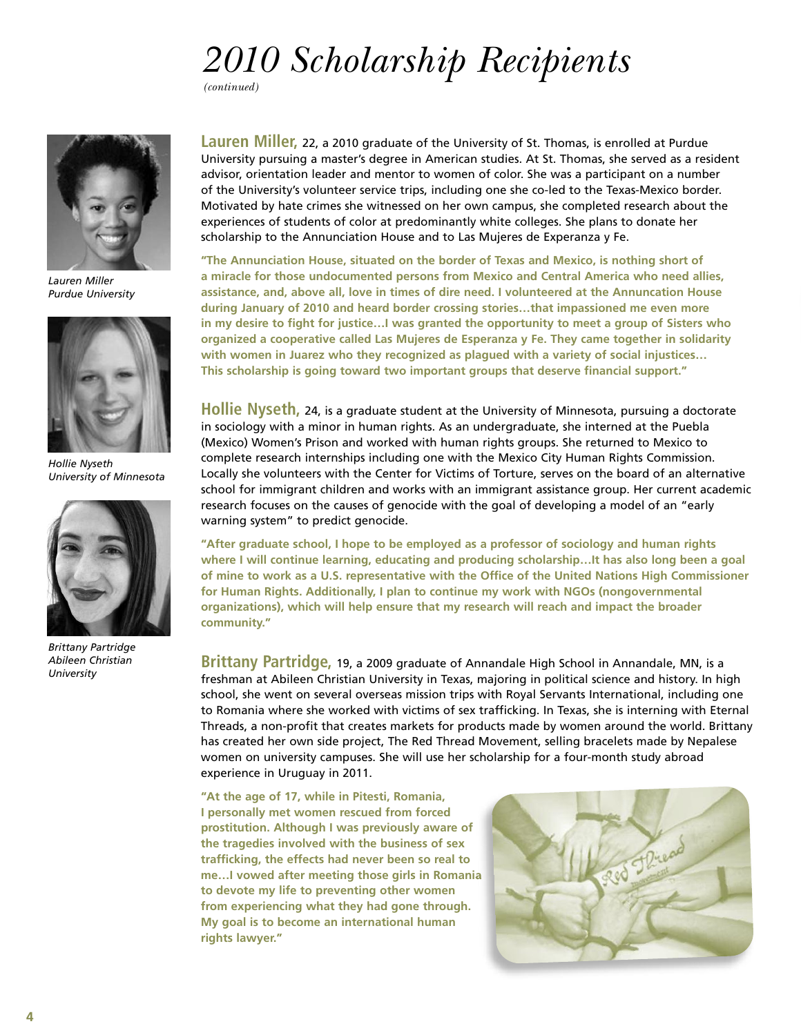# *2010 Scholarship Recipients*

*(continued)*



*Lauren Miller Purdue University*



*Hollie Nyseth University of Minnesota*



*Brittany Partridge Abileen Christian University*

**Lauren Miller,** 22, <sup>a</sup> <sup>2010</sup> graduate of the University of St. Thomas, is enrolled at Purdue University pursuing a master's degree in American studies. At St. Thomas, she served as a resident advisor, orientation leader and mentor to women of color. She was a participant on a number of the University's volunteer service trips, including one she co-led to the Texas-Mexico border. Motivated by hate crimes she witnessed on her own campus, she completed research about the experiences of students of color at predominantly white colleges. She plans to donate her scholarship to the Annunciation House and to Las Mujeres de Experanza y Fe.

**"The Annunciation House, situated on the border of Texas and Mexico, is nothing short of a miracle for those undocumented persons from Mexico and Central America who need allies, assistance, and, above all, love in times of dire need. I volunteered at the Annuncation House during January of 2010 and heard border crossing stories…that impassioned me even more in my desire to fight for justice…I was granted the opportunity to meet a group of Sisters who organized a cooperative called Las Mujeres de Esperanza y Fe. They came together in solidarity with women in Juarez who they recognized as plagued with a variety of social injustices… This scholarship is going toward two important groups that deserve financial support."**

**Hollie Nyseth,** 24, is <sup>a</sup> graduate student at the University of Minnesota, pursuing <sup>a</sup> doctorate in sociology with a minor in human rights. As an undergraduate, she interned at the Puebla (Mexico) Women's Prison and worked with human rights groups. She returned to Mexico to complete research internships including one with the Mexico City Human Rights Commission. Locally she volunteers with the Center for Victims of Torture, serves on the board of an alternative school for immigrant children and works with an immigrant assistance group. Her current academic research focuses on the causes of genocide with the goal of developing a model of an "early warning system" to predict genocide.

**"After graduate school, I hope to be employed as a professor of sociology and human rights where I will continue learning, educating and producing scholarship…It has also long been a goal of mine to work as a U.S. representative with the Office of the United Nations High Commissioner for Human Rights. Additionally, I plan to continue my work with NGOs (nongovernmental organizations), which will help ensure that my research will reach and impact the broader community."**

**Brittany Partridge,** 19, <sup>a</sup> <sup>2009</sup> graduate of Annandale High School in Annandale, MN, is <sup>a</sup> freshman at Abileen Christian University in Texas, majoring in political science and history. In high school, she went on several overseas mission trips with Royal Servants International, including one to Romania where she worked with victims of sex trafficking. In Texas, she is interning with Eternal Threads, a non-profit that creates markets for products made by women around the world. Brittany has created her own side project, The Red Thread Movement, selling bracelets made by Nepalese women on university campuses. She will use her scholarship for a four-month study abroad experience in Uruguay in 2011.

**"At the age of 17, while in Pitesti, Romania, I personally met women rescued from forced prostitution. Although I was previously aware of the tragedies involved with the business of sex trafficking, the effects had never been so real to me…I vowed after meeting those girls in Romania to devote my life to preventing other women from experiencing what they had gone through. My goal is to become an international human rights lawyer."**

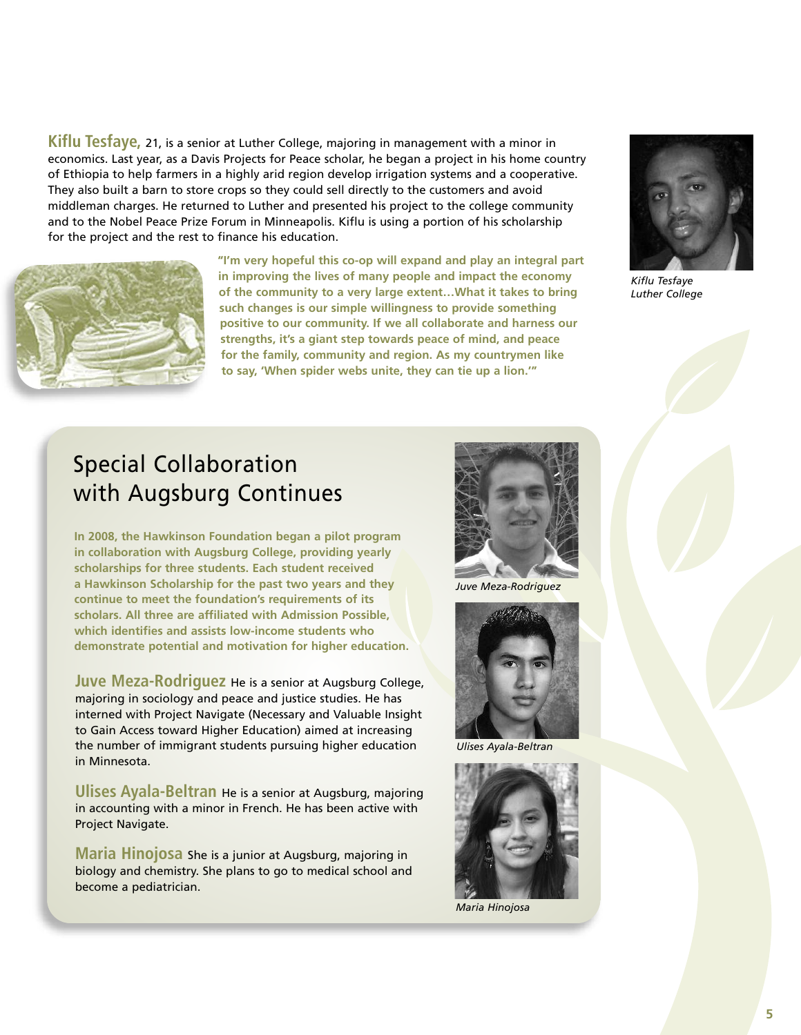**Kiflu Tesfaye,** 21, is <sup>a</sup> senior at Luther College, majoring in management with <sup>a</sup> minor in economics. Last year, as a Davis Projects for Peace scholar, he began a project in his home country of Ethiopia to help farmers in a highly arid region develop irrigation systems and a cooperative. They also built a barn to store crops so they could sell directly to the customers and avoid middleman charges. He returned to Luther and presented his project to the college community and to the Nobel Peace Prize Forum in Minneapolis. Kiflu is using a portion of his scholarship for the project and the rest to finance his education.



**"I'm very hopeful this co-op will expand and play an integral part in improving the lives of many people and impact the economy of the community to a very large extent…What it takes to bring such changes is our simple willingness to provide something positive to our community. If we all collaborate and harness our strengths, it's a giant step towards peace of mind, and peace for the family, community and region. As my countrymen like to say, 'When spider webs unite, they can tie up a lion.'"**



*Kiflu Tesfaye Luther College*

### Special Collaboration with Augsburg Continues

**In 2008, the Hawkinson Foundation began a pilot program in collaboration with Augsburg College, providing yearly scholarships for three students. Each student received a Hawkinson Scholarship for the past two years and they continue to meet the foundation's requirements of its scholars. All three are affiliated with Admission Possible, which identifies and assists low-income students who demonstrate potential and motivation for higher education.**

**Juve Meza-Rodriguez** He is <sup>a</sup> senior at Augsburg College, majoring in sociology and peace and justice studies. He has interned with Project Navigate (Necessary and Valuable Insight to Gain Access toward Higher Education) aimed at increasing the number of immigrant students pursuing higher education in Minnesota.

**Ulises Ayala-Beltran** He is <sup>a</sup> senior at Augsburg, majoring in accounting with a minor in French. He has been active with Project Navigate.

**Maria Hinojosa** She is <sup>a</sup> junior at Augsburg, majoring in biology and chemistry. She plans to go to medical school and become a pediatrician.



*Juve Meza-Rodriguez*



*Ulises Ayala-Beltran*



*Maria Hinojosa*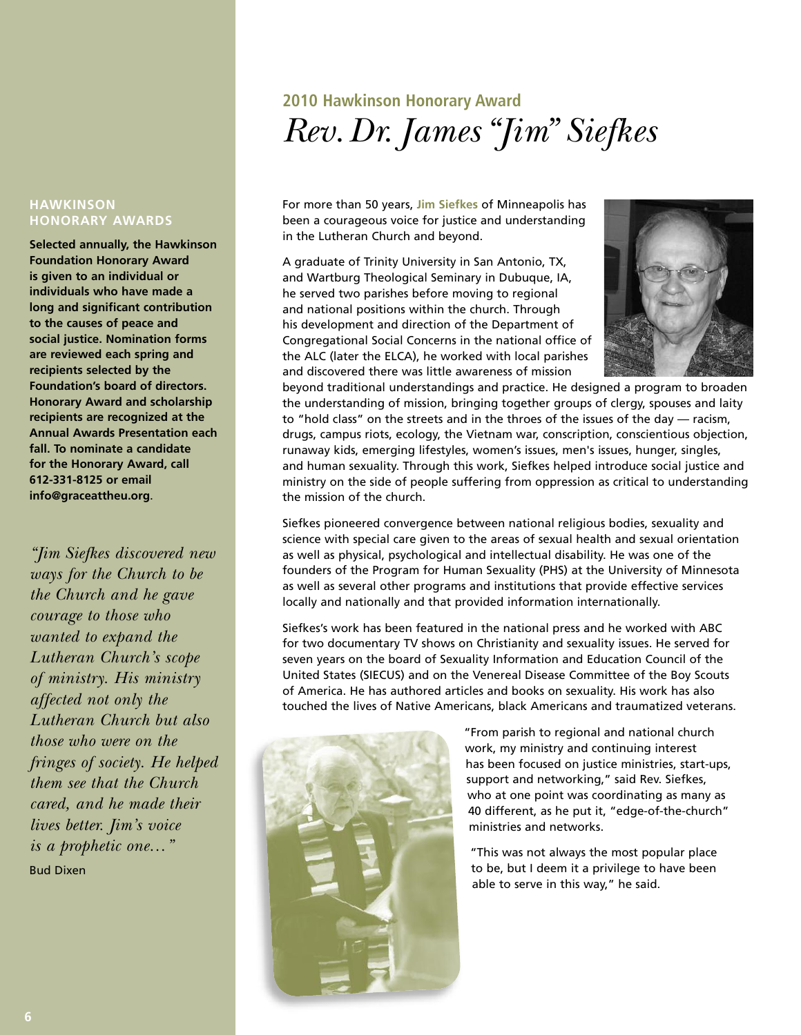# **2010 Hawkinson Honorary Award** *Rev.Dr. James "Jim" Siefkes*

For more than 50 years, **Jim Siefkes** of Minneapolis has been a courageous voice for justice and understanding in the Lutheran Church and beyond.

A graduate of Trinity University in San Antonio, TX, and Wartburg Theological Seminary in Dubuque, IA, he served two parishes before moving to regional and national positions within the church. Through his development and direction of the Department of Congregational Social Concerns in the national office of the ALC (later the ELCA), he worked with local parishes and discovered there was little awareness of mission



beyond traditional understandings and practice. He designed a program to broaden the understanding of mission, bringing together groups of clergy, spouses and laity to "hold class" on the streets and in the throes of the issues of the day — racism, drugs, campus riots, ecology, the Vietnam war, conscription, conscientious objection, runaway kids, emerging lifestyles, women's issues, men's issues, hunger, singles, and human sexuality. Through this work, Siefkes helped introduce social justice and ministry on the side of people suffering from oppression as critical to understanding the mission of the church.

Siefkes pioneered convergence between national religious bodies, sexuality and science with special care given to the areas of sexual health and sexual orientation as well as physical, psychological and intellectual disability. He was one of the founders of the Program for Human Sexuality (PHS) at the University of Minnesota as well as several other programs and institutions that provide effective services locally and nationally and that provided information internationally.

Siefkes's work has been featured in the national press and he worked with ABC for two documentary TV shows on Christianity and sexuality issues. He served for seven years on the board of Sexuality Information and Education Council of the United States (SIECUS) and on the Venereal Disease Committee of the Boy Scouts of America. He has authored articles and books on sexuality. His work has also touched the lives of Native Americans, black Americans and traumatized veterans.



"From parish to regional and national church work, my ministry and continuing interest has been focused on justice ministries, start-ups, support and networking," said Rev. Siefkes, who at one point was coordinating as many as 40 different, as he put it, "edge-of-the-church" ministries and networks.

"This was not always the most popular place to be, but I deem it a privilege to have been able to serve in this way," he said.

#### **HAWKINSON HONORARY AWARDS**

**Selected annually, the Hawkinson Foundation Honorary Award is given to an individual or individuals who have made a long and significant contribution to the causes of peace and social justice. Nomination forms are reviewed each spring and recipients selected by the Foundation's board of directors. Honorary Award and scholarship recipients are recognized at the Annual Awards Presentation each fall. To nominate a candidate for the Honorary Award, call 612-331-8125 or email info@graceattheu.org**.

*"Jim Siefkes discovered new ways for the Church to be the Church and he gave courage to those who wanted to expand the Lutheran Church's scope of ministry. His ministry affected not only the Lutheran Church but also those who were on the fringes of society. He helped them see that the Church cared, and he made their lives better. Jim's voice is a prophetic one…"* Bud Dixen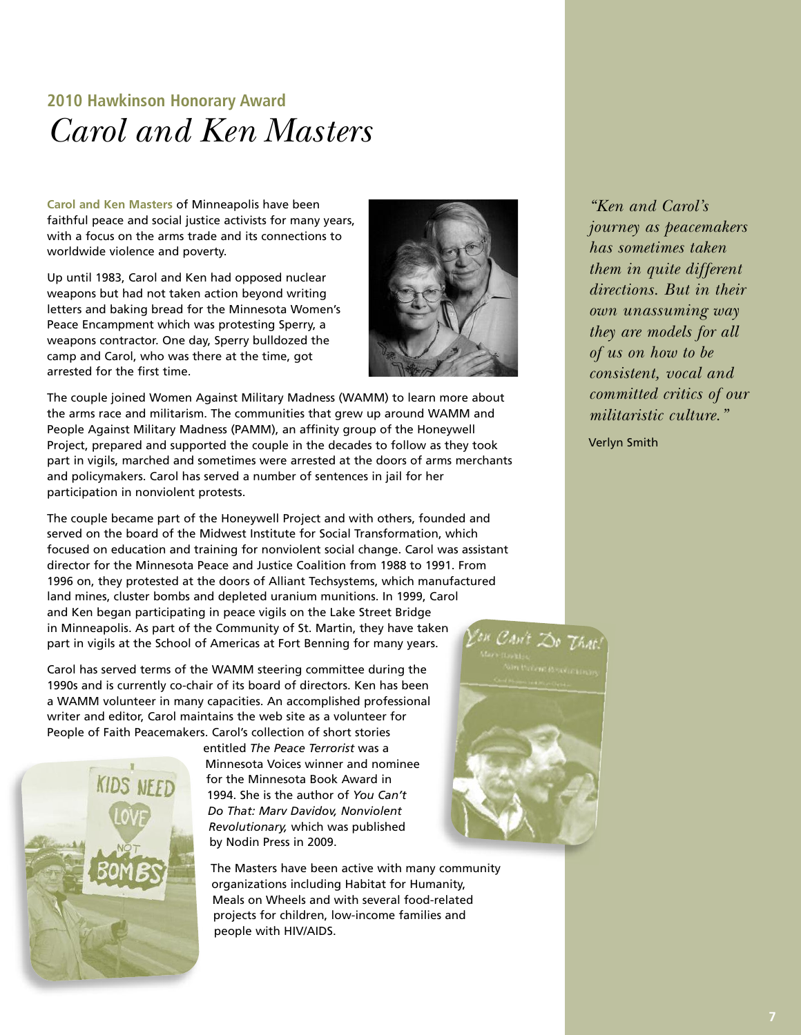### **2010 Hawkinson Honorary Award** *Carol and Ken Masters*

**Carol and Ken Masters** of Minneapolis have been faithful peace and social justice activists for many years, with a focus on the arms trade and its connections to worldwide violence and poverty.

Up until 1983, Carol and Ken had opposed nuclear weapons but had not taken action beyond writing letters and baking bread for the Minnesota Women's Peace Encampment which was protesting Sperry, a weapons contractor. One day, Sperry bulldozed the camp and Carol, who was there at the time, got arrested for the first time.



The couple joined Women Against Military Madness (WAMM) to learn more about the arms race and militarism. The communities that grew up around WAMM and People Against Military Madness (PAMM), an affinity group of the Honeywell Project, prepared and supported the couple in the decades to follow as they took part in vigils, marched and sometimes were arrested at the doors of arms merchants and policymakers. Carol has served a number of sentences in jail for her participation in nonviolent protests.

The couple became part of the Honeywell Project and with others, founded and served on the board of the Midwest Institute for Social Transformation, which focused on education and training for nonviolent social change. Carol was assistant director for the Minnesota Peace and Justice Coalition from 1988 to 1991. From 1996 on, they protested at the doors of Alliant Techsystems, which manufactured land mines, cluster bombs and depleted uranium munitions. In 1999, Carol and Ken began participating in peace vigils on the Lake Street Bridge in Minneapolis. As part of the Community of St. Martin, they have taken part in vigils at the School of Americas at Fort Benning for many years.

Carol has served terms of the WAMM steering committee during the 1990s and is currently co-chair of its board of directors. Ken has been a WAMM volunteer in many capacities. An accomplished professional writer and editor, Carol maintains the web site as a volunteer for People of Faith Peacemakers. Carol's collection of short stories



entitled *The Peace Terrorist* was a Minnesota Voices winner and nominee for the Minnesota Book Award in 1994. She is the author of *You Can't Do That: Marv Davidov, Nonviolent Revolutionary,* which was published by Nodin Press in 2009.

The Masters have been active with many community organizations including Habitat for Humanity, Meals on Wheels and with several food-related projects for children, low-income families and people with HIV/AIDS.

*"Ken and Carol's journey as peacemakers has sometimes taken them in quite different directions. But in their own unassuming way they are models for all of us on how to be consistent, vocal and committed critics of our militaristic culture."*

Verlyn Smith

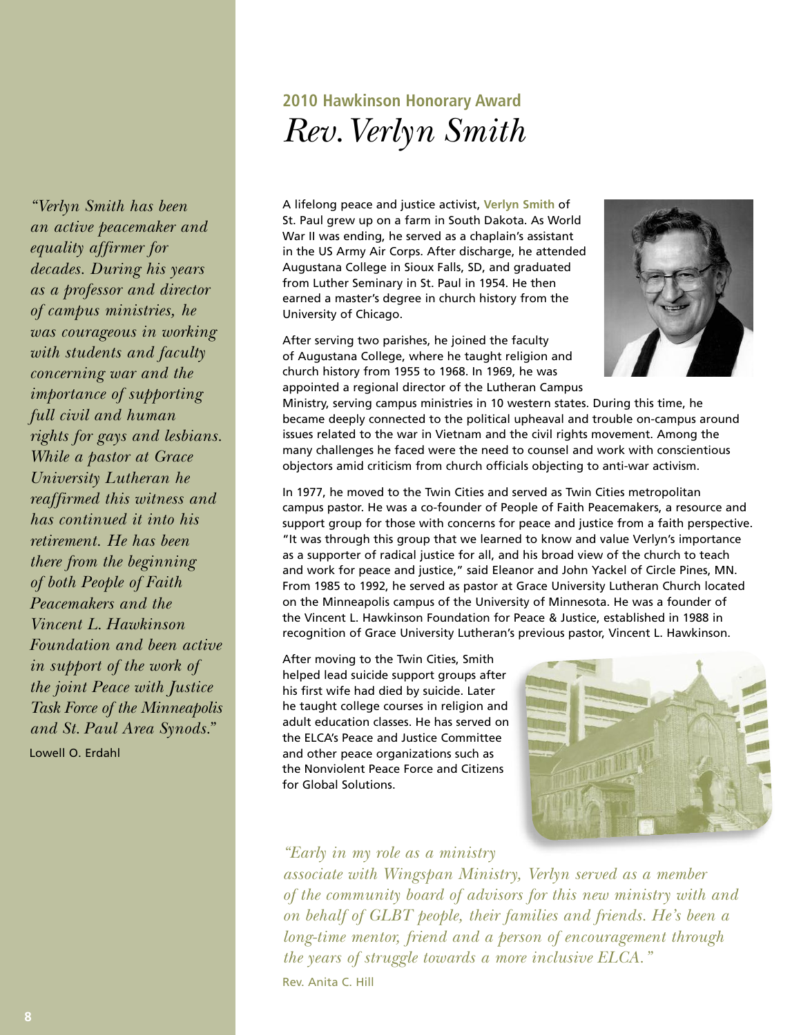## **2010 Hawkinson Honorary Award** *Rev.Verlyn Smith*

A lifelong peace and justice activist, **Verlyn Smith** of St. Paul grew up on a farm in South Dakota. As World War II was ending, he served as a chaplain's assistant in the US Army Air Corps. After discharge, he attended Augustana College in Sioux Falls, SD, and graduated from Luther Seminary in St. Paul in 1954. He then earned a master's degree in church history from the University of Chicago.

After serving two parishes, he joined the faculty of Augustana College, where he taught religion and



church history from 1955 to 1968. In 1969, he was appointed a regional director of the Lutheran Campus Ministry, serving campus ministries in 10 western states. During this time, he became deeply connected to the political upheaval and trouble on-campus around issues related to the war in Vietnam and the civil rights movement. Among the

objectors amid criticism from church officials objecting to anti-war activism. In 1977, he moved to the Twin Cities and served as Twin Cities metropolitan campus pastor. He was a co-founder of People of Faith Peacemakers, a resource and support group for those with concerns for peace and justice from a faith perspective. "It was through this group that we learned to know and value Verlyn's importance as a supporter of radical justice for all, and his broad view of the church to teach and work for peace and justice," said Eleanor and John Yackel of Circle Pines, MN. From 1985 to 1992, he served as pastor at Grace University Lutheran Church located on the Minneapolis campus of the University of Minnesota. He was a founder of the Vincent L. Hawkinson Foundation for Peace & Justice, established in 1988 in recognition of Grace University Lutheran's previous pastor, Vincent L. Hawkinson.

many challenges he faced were the need to counsel and work with conscientious

After moving to the Twin Cities, Smith helped lead suicide support groups after his first wife had died by suicide. Later he taught college courses in religion and adult education classes. He has served on the ELCA's Peace and Justice Committee and other peace organizations such as the Nonviolent Peace Force and Citizens for Global Solutions.



#### *"Early in my role as a ministry*

*associate with Wingspan Ministry, Verlyn served as a member of the community board of advisors for this new ministry with and on behalf of GLBT people, their families and friends. He's been a long-time mentor, friend and a person of encouragement through the years of struggle towards a more inclusive ELCA."*

Rev. Anita C. Hill

*equality affirmer for decades. During his years as a professor and director of campus ministries, he was courageous in working with students and faculty concerning war and the importance of supporting full civil and human rights for gays and lesbians. While a pastor at Grace University Lutheran he reaffirmed this witness and has continued it into his retirement. He has been there from the beginning of both People of Faith Peacemakers and the Vincent L. Hawkinson Foundation and been active in support of the work of the joint Peace with Justice Task Force of the Minneapolis and St. Paul Area Synods."* Lowell O. Erdahl

*"Verlyn Smith has been an active peacemaker and*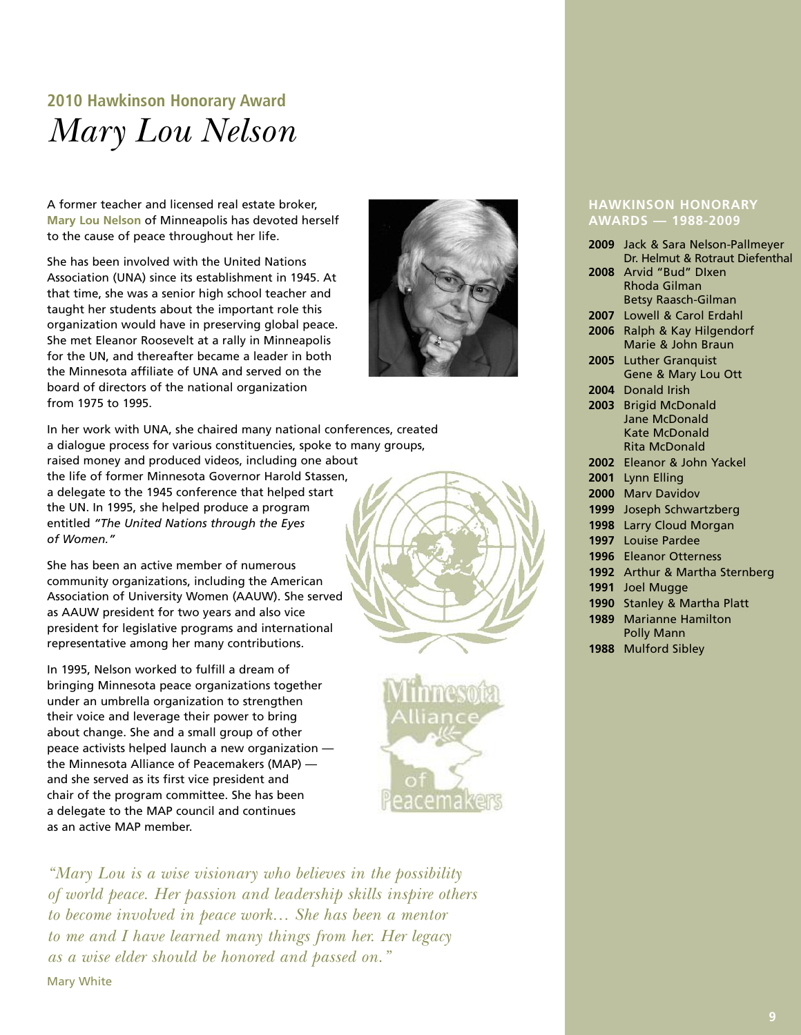## **2010 Hawkinson Honorary Award** *Mary Lou Nelson*

A former teacher and licensed real estate broker, **Mary Lou Nelson** of Minneapolis has devoted herself to the cause of peace throughout her life.

She has been involved with the United Nations Association (UNA) since its establishment in 1945. At that time, she was a senior high school teacher and taught her students about the important role this organization would have in preserving global peace. She met Eleanor Roosevelt at a rally in Minneapolis for the UN, and thereafter became a leader in both the Minnesota affiliate of UNA and served on the board of directors of the national organization from 1975 to 1995.



She has been an active member of numerous community organizations, including the American Association of University Women (AAUW). She served as AAUW president for two years and also vice president for legislative programs and international representative among her many contributions.

In 1995, Nelson worked to fulfill a dream of bringing Minnesota peace organizations together under an umbrella organization to strengthen their voice and leverage their power to bring about change. She and a small group of other peace activists helped launch a new organization the Minnesota Alliance of Peacemakers (MAP) and she served as its first vice president and chair of the program committee. She has been a delegate to the MAP council and continues as an active MAP member.

*"Mary Lou is a wise visionary who believes in the possibility of world peace. Her passion and leadership skills inspire others to become involved in peace work… She has been a mentor to me and I have learned many things from her. Her legacy as a wise elder should be honored and passed on."* Mary White



#### **HAWKINSON HONORARY AWARDS — 1988-2009**

| 2009 | Jack & Sara Nelson-Pallmeyer    |
|------|---------------------------------|
|      | Dr. Helmut & Rotraut Diefenthal |
| 2008 | Arvid "Bud" Dixen               |
|      | Rhoda Gilman                    |
|      | Betsy Raasch-Gilman             |
| 2007 | Lowell & Carol Erdahl           |
| 2006 | Ralph & Kay Hilgendorf          |
|      | Marie & John Braun              |
| 2005 | <b>Luther Granquist</b>         |
|      | Gene & Mary Lou Ott             |
| 2004 | Donald Irish                    |
| 2003 | <b>Brigid McDonald</b>          |
|      | Jane McDonald                   |
|      | Kate McDonald                   |
|      | <b>Rita McDonald</b>            |
| 2002 | Eleanor & John Yackel           |
| 2001 | Lynn Elling                     |
| 2000 | <b>Mary Davidov</b>             |
| 1999 | Joseph Schwartzberg             |
| 1998 | Larry Cloud Morgan              |
| 1997 | Louise Pardee                   |
| 1996 | <b>Eleanor Otterness</b>        |
| 1992 | Arthur & Martha Sternberg       |
| 1991 | Joel Mugge                      |
| 1990 | Stanley & Martha Platt          |
| 1989 | <b>Marianne Hamilton</b>        |
|      | Polly Mann                      |
| 1988 | <b>Mulford Sibley</b>           |
|      |                                 |

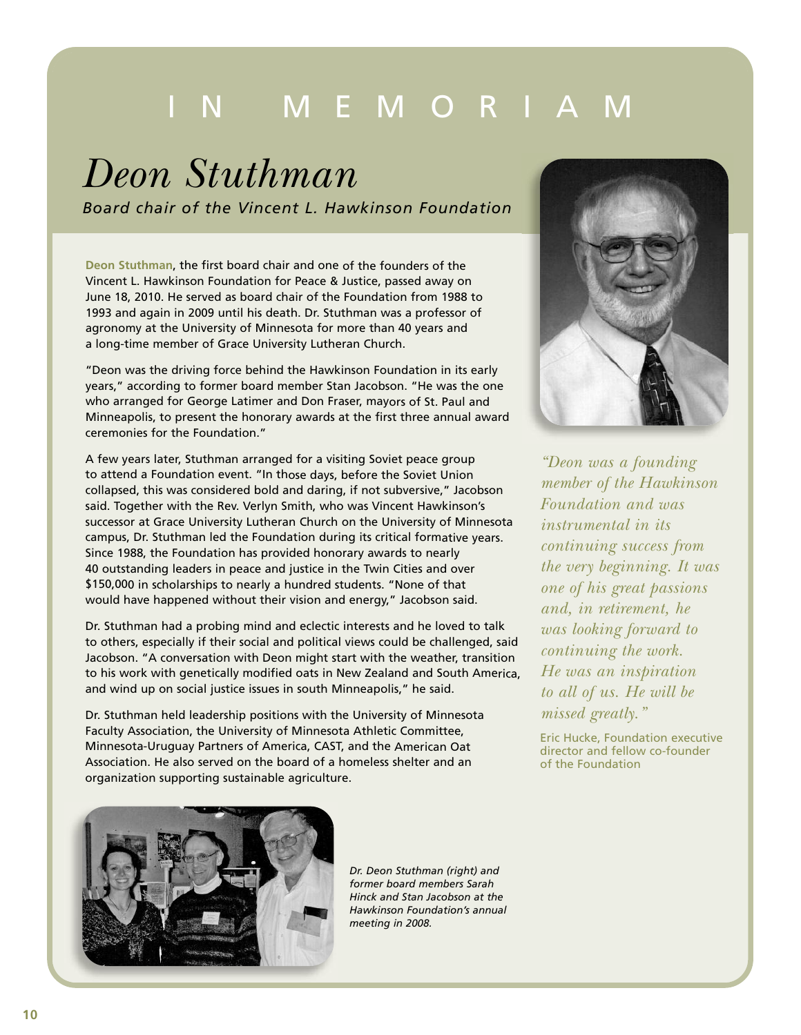# M E M O R

# *Deon Stuthman*

*Board chair of the Vincent L. Hawkinson Foundation*

**Deon Stuthman**, the first board chair and one of the founders of the Vincent L. Hawkinson Foundation for Peace & Justice, passed away on June 18, 2010. He served as board chair of the Foundation from 1988 to 1993 and again in 2009 until his death. Dr. Stuthman was <sup>a</sup> professor of agronomy at the University of Minnesota for more than 40 years and <sup>a</sup> long-time member of Grace University Lutheran Church.

"Deon was the driving force behind the Hawkinson Foundation in its early years," according to former board member Stan Jacobson. "He was the one who arranged for George Latimer and Don Fraser, mayors of St. Paul and Minneapolis, to present the honorary awards at the first three annual award ceremonies for the Foundation."

A few years later, Stuthman arranged for <sup>a</sup> visiting Soviet peace group to attend <sup>a</sup> Foundation event. "In those days, before the Soviet Union collapsed, this was considered bold and daring, if not subversive," Jacobson said. Together with the Rev. Verlyn Smith, who was Vincent Hawkinson's successor at Grace University Lutheran Church on the University of Minnesota campus, Dr. Stuthman led the Foundation during its critical formative years. Since 1988, the Foundation has provided honorary awards to nearly 40 outstanding leaders in peace and justice in the Twin Cities and over \$150,000 in scholarships to nearly <sup>a</sup> hundred students. "None of that would have happened without their vision and energy," Jacobson said.

Dr. Stuthman had <sup>a</sup> probing mind and eclectic interests and he loved to talk to others, especially if their social and political views could be challenged, said Jacobson. "A conversation with Deon might start with the weather, transition to his work with genetically modified oats in New Zealand and South America, and wind up on social justice issues in south Minneapolis," he said.

Dr. Stuthman held leadership positions with the University of Minnesota Faculty Association, the University of Minnesota Athletic Committee, Minnesota-Uruguay Partners of America, CAST, and the American Oat Association. He also served on the board of <sup>a</sup> homeless shelter and an organization supporting sustainable agriculture.



*"Deon was a founding member of the Hawkinson Foundation and was instrumental in its continuing success from the very beginning. It was one of his great passions and, in retirement, he was looking forward to continuing the work. He was an inspiration to all of us. He will be missed greatly."*

Eric Hucke, Foundation executive director and fellow co-founder of the Foundation



*Dr. Deon Stuthman (right) and former board members Sarah Hinck and Stan Jacobson at the Hawkinson Foundation's annual meeting in 2008.*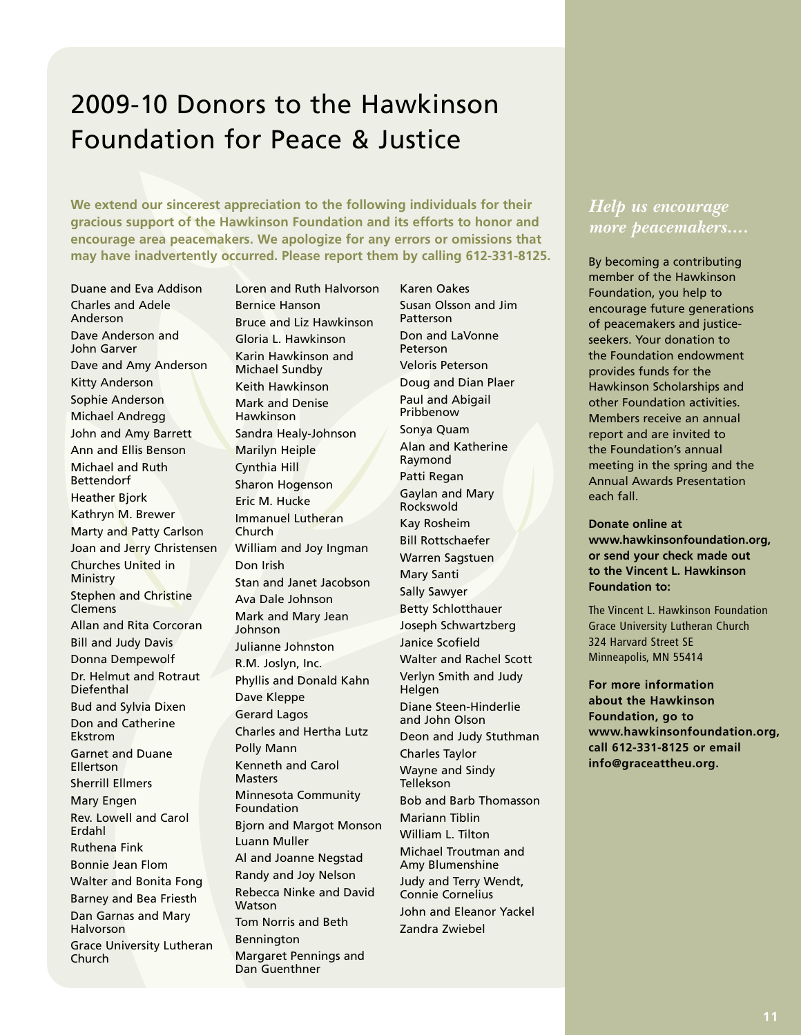## 2009-10 Donors to the Hawkinson Foundation for Peace & Justice

**We extend our sincerest appreciation to the following individuals for their gracious support of the Hawkinson Foundation and its efforts to honor and encourage area peacemakers. We apologize for any errors or omissions that may have inadvertently occurred. Please report them by calling 612-331-8125.**

Duane and Eva Addison Charles and Adele Anderson Dave Anderson and John Garver Dave and Amy Anderson Kitty Anderson Sophie Anderson Michael Andregg John and Amy Barrett Ann and Ellis Benson Michael and Ruth Bettendorf Heather Bjork Kathryn M. Brewer Marty and Patty Carlson Joan and Jerry Christensen Churches United in Ministry Stephen and Christine Clemens Allan and Rita Corcoran Bill and Judy Davis Donna Dempewolf Dr. Helmut and Rotraut Diefenthal Bud and Sylvia Dixen Don and Catherine Ekstrom Garnet and Duane Ellertson Sherrill Ellmers Mary Engen Rev. Lowell and Carol Erdahl Ruthena Fink Bonnie Jean Flom Walter and Bonita Fong Barney and Bea Friesth Dan Garnas and Mary Halvorson Grace University Lutheran Church

Loren and Ruth Halvorson Bernice Hanson Bruce and Liz Hawkinson Gloria L. Hawkinson Karin Hawkinson and Michael Sundby Keith Hawkinson Mark and Denise Hawkinson Sandra Healy-Johnson Marilyn Heiple Cynthia Hill Sharon Hogenson Eric M. Hucke Immanuel Lutheran Church William and Joy Ingman Don Irish Stan and Janet Jacobson Ava Dale Johnson Mark and Mary Jean Johnson Julianne Johnston R.M. Joslyn, Inc. Phyllis and Donald Kahn Dave Kleppe Gerard Lagos Charles and Hertha Lutz Polly Mann Kenneth and Carol Masters Minnesota Community Foundation Bjorn and Margot Monson Luann Muller Al and Joanne Negstad Randy and Joy Nelson Rebecca Ninke and David **Watson** Tom Norris and Beth Bennington Margaret Pennings and Dan Guenthner

Susan Olsson and Jim Patterson Don and LaVonne Peterson Veloris Peterson Doug and Dian Plaer Paul and Abigail Pribbenow Sonya Quam Alan and Katherine Raymond Patti Regan Gaylan and Mary Rockswold Kay Rosheim Bill Rottschaefer Warren Sagstuen Mary Santi Sally Sawyer Betty Schlotthauer Joseph Schwartzberg Janice Scofield Walter and Rachel Scott Verlyn Smith and Judy Helgen Diane Steen-Hinderlie and John Olson Deon and Judy Stuthman Charles Taylor Wayne and Sindy Tellekson Bob and Barb Thomasson Mariann Tiblin William L. Tilton Michael Troutman and Amy Blumenshine Judy and Terry Wendt, Connie Cornelius John and Eleanor Yackel Zandra Zwiebel

Karen Oakes

#### *Help us encourage more peacemakers....*

By becoming a contributing member of the Hawkinson Foundation, you help to encourage future generations of peacemakers and justiceseekers. Your donation to the Foundation endowment provides funds for the Hawkinson Scholarships and other Foundation activities. Members receive an annual report and are invited to the Foundation's annual meeting in the spring and the Annual Awards Presentation each fall.

**Donate online at www.hawkinsonfoundation.org, or send your check made out to the Vincent L. Hawkinson Foundation to:**

The Vincent L. Hawkinson Foundation Grace University Lutheran Church 324 Harvard Street SE Minneapolis, MN 55414

**For more information about the Hawkinson Foundation, go to www.hawkinsonfoundation.org, call 612-331-8125 or email info@graceattheu.org.**